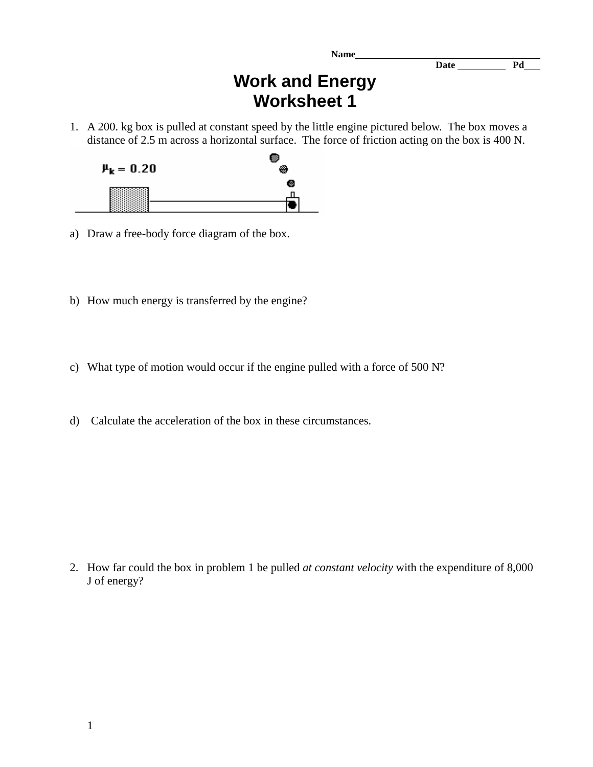**Name** 

**Date Pd** 

## **Work and Energy Worksheet 1**

1. A 200. kg box is pulled at constant speed by the little engine pictured below. The box moves a distance of 2.5 m across a horizontal surface. The force of friction acting on the box is 400 N.



- a) Draw a free-body force diagram of the box.
- b) How much energy is transferred by the engine?
- c) What type of motion would occur if the engine pulled with a force of 500 N?
- d) Calculate the acceleration of the box in these circumstances.

2. How far could the box in problem 1 be pulled *at constant velocity* with the expenditure of 8,000 J of energy?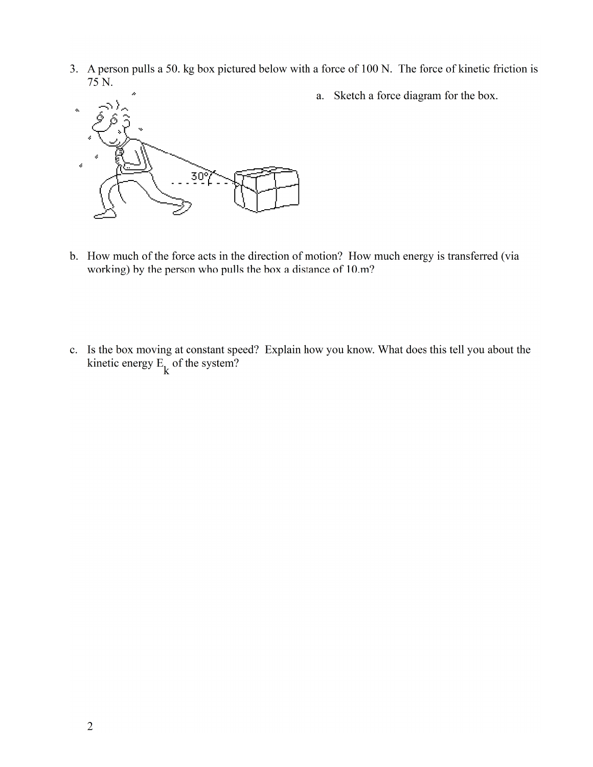3. A person pulls a 50. kg box pictured below with a force of 100 N. The force of kinetic friction is 75 N.



a. Sketch a force diagram for the box.

- b. How much of the force acts in the direction of motion? How much energy is transferred (via working) by the person who pulls the box a distance of 10.m?
- c. Is the box moving at constant speed? Explain how you know. What does this tell you about the kinetic energy  $E_k$  of the system?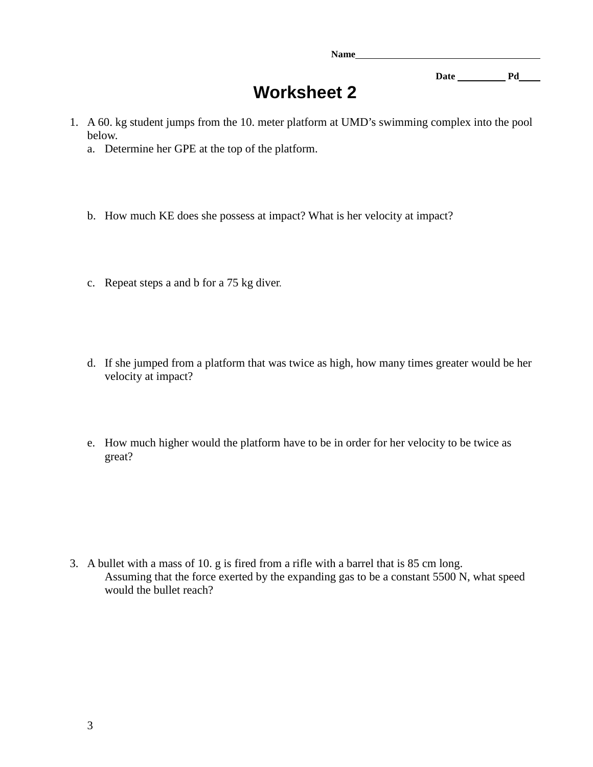**Name** 

Date <u>Pd</u> Pd

## **Worksheet 2**

- 1. A 60. kg student jumps from the 10. meter platform at UMD's swimming complex into the pool below.
	- a. Determine her GPE at the top of the platform.
	- b. How much KE does she possess at impact? What is her velocity at impact?
	- c. Repeat steps a and b for a 75 kg diver.
	- d. If she jumped from a platform that was twice as high, how many times greater would be her velocity at impact?
	- e. How much higher would the platform have to be in order for her velocity to be twice as great?

3. A bullet with a mass of 10. g is fired from a rifle with a barrel that is 85 cm long. Assuming that the force exerted by the expanding gas to be a constant 5500 N, what speed would the bullet reach?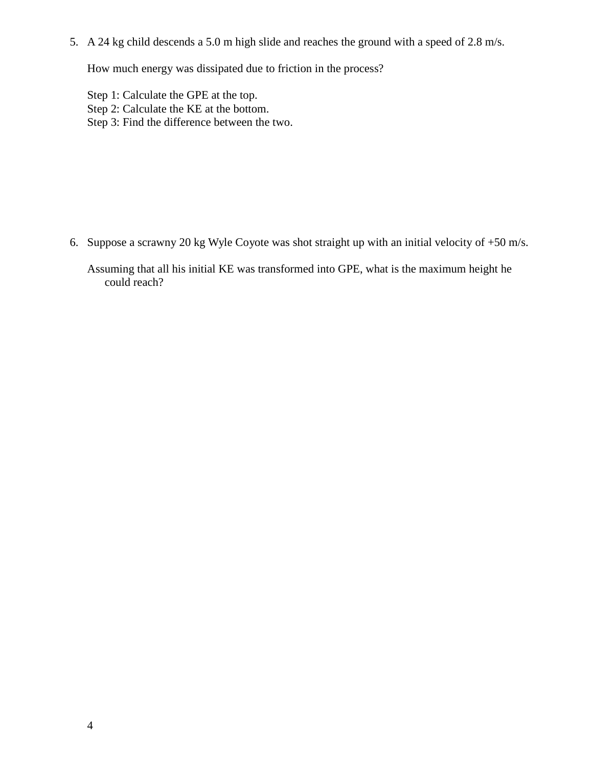5. A 24 kg child descends a 5.0 m high slide and reaches the ground with a speed of 2.8 m/s.

How much energy was dissipated due to friction in the process?

Step 1: Calculate the GPE at the top. Step 2: Calculate the KE at the bottom. Step 3: Find the difference between the two.

6. Suppose a scrawny 20 kg Wyle Coyote was shot straight up with an initial velocity of +50 m/s.

Assuming that all his initial KE was transformed into GPE, what is the maximum height he could reach?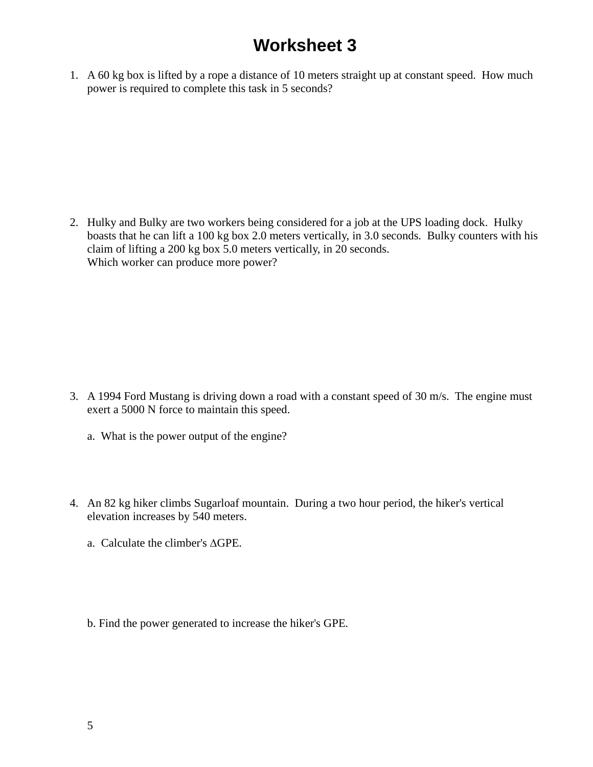## **Worksheet 3**

1. A 60 kg box is lifted by a rope a distance of 10 meters straight up at constant speed. How much power is required to complete this task in 5 seconds?

2. Hulky and Bulky are two workers being considered for a job at the UPS loading dock. Hulky boasts that he can lift a 100 kg box 2.0 meters vertically, in 3.0 seconds. Bulky counters with his claim of lifting a 200 kg box 5.0 meters vertically, in 20 seconds. Which worker can produce more power?

- 3. A 1994 Ford Mustang is driving down a road with a constant speed of 30 m/s. The engine must exert a 5000 N force to maintain this speed.
	- a. What is the power output of the engine?
- 4. An 82 kg hiker climbs Sugarloaf mountain. During a two hour period, the hiker's vertical elevation increases by 540 meters.
	- a. Calculate the climber's ∆GPE.
	- b. Find the power generated to increase the hiker's GPE.